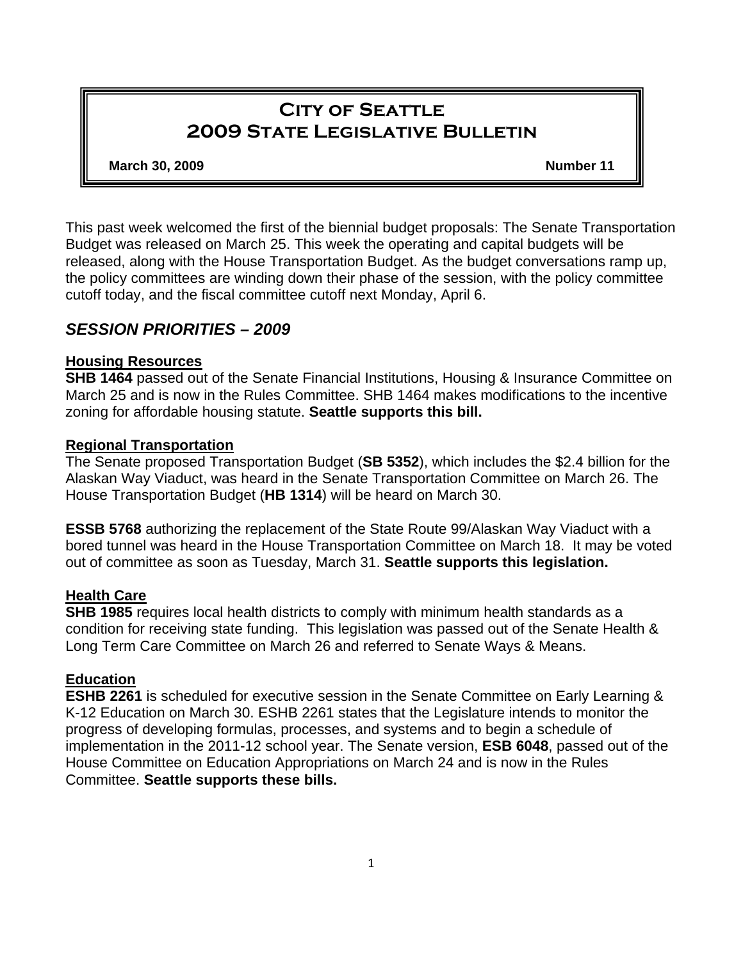# **City of Seattle 2009 State Legislative Bulletin**

#### **March 30, 2009** Number 11 **Number 11**

This past week welcomed the first of the biennial budget proposals: The Senate Transportation Budget was released on March 25. This week the operating and capital budgets will be released, along with the House Transportation Budget. As the budget conversations ramp up, the policy committees are winding down their phase of the session, with the policy committee cutoff today, and the fiscal committee cutoff next Monday, April 6.

## *SESSION PRIORITIES – 2009*

### **Housing Resources**

**SHB 1464** passed out of the Senate Financial Institutions, Housing & Insurance Committee on March 25 and is now in the Rules Committee. SHB 1464 makes modifications to the incentive zoning for affordable housing statute. **Seattle supports this bill.** 

### **Regional Transportation**

The Senate proposed Transportation Budget (**SB 5352**), which includes the \$2.4 billion for the Alaskan Way Viaduct, was heard in the Senate Transportation Committee on March 26. The House Transportation Budget (**HB 1314**) will be heard on March 30.

**ESSB 5768** authorizing the replacement of the State Route 99/Alaskan Way Viaduct with a bored tunnel was heard in the House Transportation Committee on March 18. It may be voted out of committee as soon as Tuesday, March 31. **Seattle supports this legislation.**

## **Health Care**

**SHB 1985** requires local health districts to comply with minimum health standards as a condition for receiving state funding. This legislation was passed out of the Senate Health & Long Term Care Committee on March 26 and referred to Senate Ways & Means.

## **Education**

**ESHB 2261** is scheduled for executive session in the Senate Committee on Early Learning & K-12 Education on March 30. ESHB 2261 states that the Legislature intends to monitor the progress of developing formulas, processes, and systems and to begin a schedule of implementation in the 2011-12 school year. The Senate version, **ESB 6048**, passed out of the House Committee on Education Appropriations on March 24 and is now in the Rules Committee. **Seattle supports these bills.**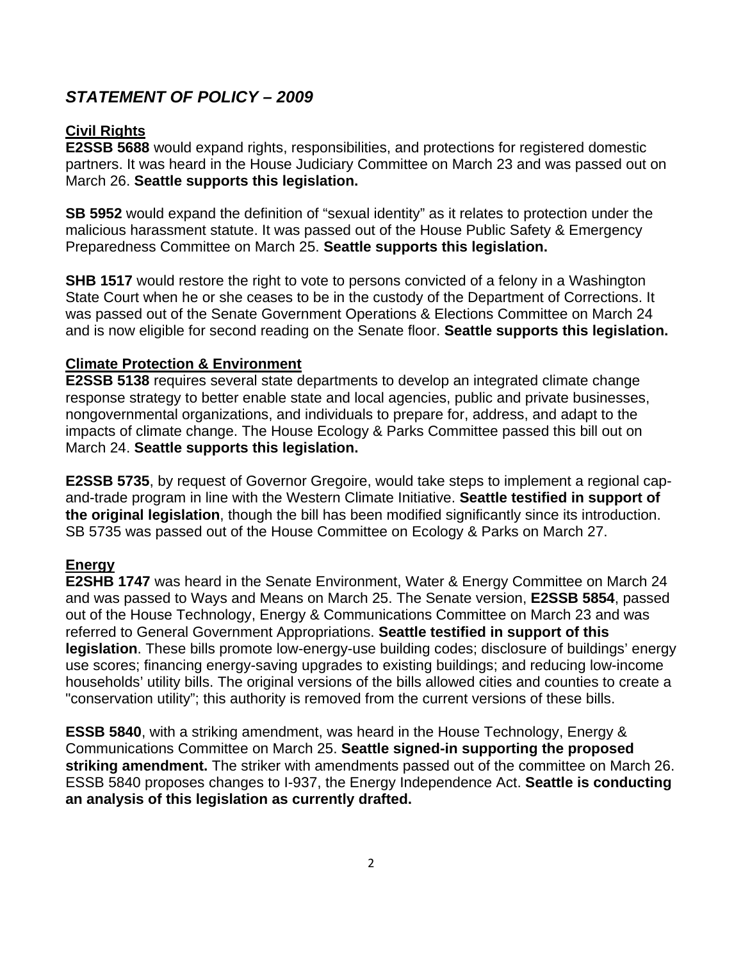## *STATEMENT OF POLICY – 2009*

## **Civil Rights**

**E2SSB 5688** would expand rights, responsibilities, and protections for registered domestic partners. It was heard in the House Judiciary Committee on March 23 and was passed out on March 26. **Seattle supports this legislation.**

**SB 5952** would expand the definition of "sexual identity" as it relates to protection under the malicious harassment statute. It was passed out of the House Public Safety & Emergency Preparedness Committee on March 25. **Seattle supports this legislation.** 

**SHB 1517** would restore the right to vote to persons convicted of a felony in a Washington State Court when he or she ceases to be in the custody of the Department of Corrections. It was passed out of the Senate Government Operations & Elections Committee on March 24 and is now eligible for second reading on the Senate floor. **Seattle supports this legislation.**

#### **Climate Protection & Environment**

**E2SSB 5138** requires several state departments to develop an integrated climate change response strategy to better enable state and local agencies, public and private businesses, nongovernmental organizations, and individuals to prepare for, address, and adapt to the impacts of climate change. The House Ecology & Parks Committee passed this bill out on March 24. **Seattle supports this legislation.** 

**E2SSB 5735**, by request of Governor Gregoire, would take steps to implement a regional capand-trade program in line with the Western Climate Initiative. **Seattle testified in support of the original legislation**, though the bill has been modified significantly since its introduction. SB 5735 was passed out of the House Committee on Ecology & Parks on March 27.

#### **Energy**

**E2SHB 1747** was heard in the Senate Environment, Water & Energy Committee on March 24 and was passed to Ways and Means on March 25. The Senate version, **E2SSB 5854**, passed out of the House Technology, Energy & Communications Committee on March 23 and was referred to General Government Appropriations. **Seattle testified in support of this legislation**. These bills promote low-energy-use building codes; disclosure of buildings' energy use scores; financing energy-saving upgrades to existing buildings; and reducing low-income households' utility bills. The original versions of the bills allowed cities and counties to create a "conservation utility"; this authority is removed from the current versions of these bills.

**ESSB 5840**, with a striking amendment, was heard in the House Technology, Energy & Communications Committee on March 25. **Seattle signed-in supporting the proposed striking amendment.** The striker with amendments passed out of the committee on March 26. ESSB 5840 proposes changes to I-937, the Energy Independence Act. **Seattle is conducting an analysis of this legislation as currently drafted.**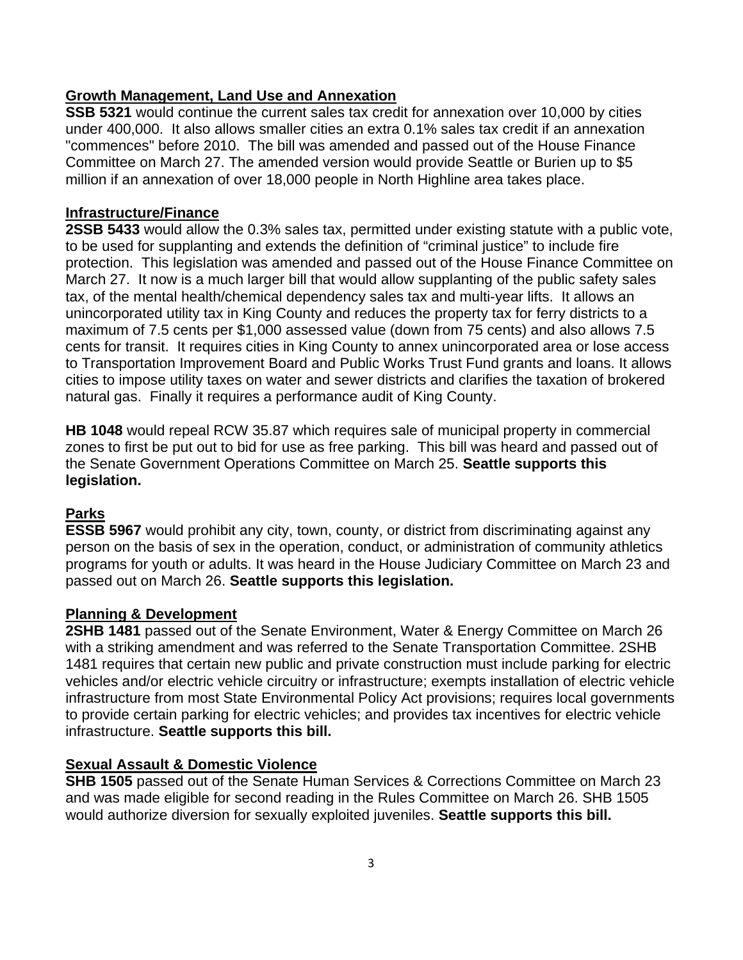## **Growth Management, Land Use and Annexation**

**SSB 5321** would continue the current sales tax credit for annexation over 10,000 by cities under 400,000. It also allows smaller cities an extra 0.1% sales tax credit if an annexation "commences" before 2010. The bill was amended and passed out of the House Finance Committee on March 27. The amended version would provide Seattle or Burien up to \$5 million if an annexation of over 18,000 people in North Highline area takes place.

## **Infrastructure/Finance**

**2SSB 5433** would allow the 0.3% sales tax, permitted under existing statute with a public vote, to be used for supplanting and extends the definition of "criminal justice" to include fire protection. This legislation was amended and passed out of the House Finance Committee on March 27. It now is a much larger bill that would allow supplanting of the public safety sales tax, of the mental health/chemical dependency sales tax and multi-year lifts. It allows an unincorporated utility tax in King County and reduces the property tax for ferry districts to a maximum of 7.5 cents per \$1,000 assessed value (down from 75 cents) and also allows 7.5 cents for transit. It requires cities in King County to annex unincorporated area or lose access to Transportation Improvement Board and Public Works Trust Fund grants and loans. It allows cities to impose utility taxes on water and sewer districts and clarifies the taxation of brokered natural gas. Finally it requires a performance audit of King County.

**HB 1048** would repeal RCW 35.87 which requires sale of municipal property in commercial zones to first be put out to bid for use as free parking. This bill was heard and passed out of the Senate Government Operations Committee on March 25. **Seattle supports this legislation.**

## **Parks**

**ESSB 5967** would prohibit any city, town, county, or district from discriminating against any person on the basis of sex in the operation, conduct, or administration of community athletics programs for youth or adults. It was heard in the House Judiciary Committee on March 23 and passed out on March 26. **Seattle supports this legislation.**

## **Planning & Development**

**2SHB 1481** passed out of the Senate Environment, Water & Energy Committee on March 26 with a striking amendment and was referred to the Senate Transportation Committee. 2SHB 1481 requires that certain new public and private construction must include parking for electric vehicles and/or electric vehicle circuitry or infrastructure; exempts installation of electric vehicle infrastructure from most State Environmental Policy Act provisions; requires local governments to provide certain parking for electric vehicles; and provides tax incentives for electric vehicle infrastructure. **Seattle supports this bill.** 

## **Sexual Assault & Domestic Violence**

**SHB 1505** passed out of the Senate Human Services & Corrections Committee on March 23 and was made eligible for second reading in the Rules Committee on March 26. SHB 1505 would authorize diversion for sexually exploited juveniles. **Seattle supports this bill.**